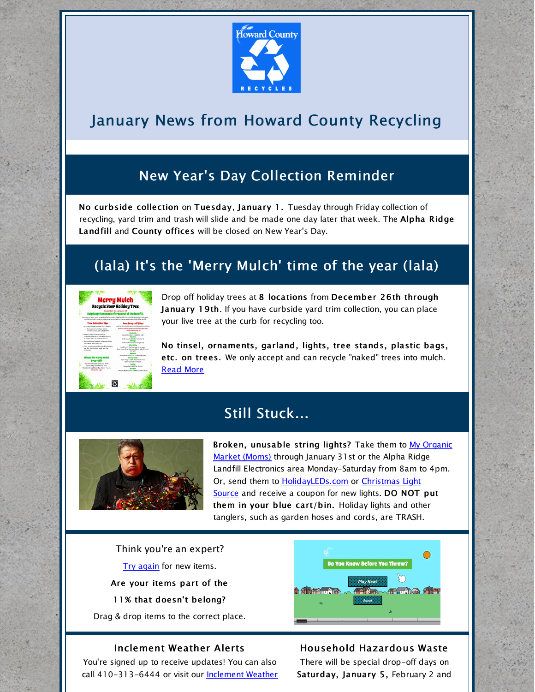

# January News from Howard County Recycling

# New Year's Day Collection Reminder

No curbside collection on Tuesday, January 1. Tuesday through Friday collection of recycling, yard trim and trash will slide and be made one day later that week. The Alpha Ridge Landfill and County offices will be closed on New Year's Day.

# (lala) It's the 'Merry Mulch' time of the year (lala)

| <b>Merry Mulch</b><br><b>Recycle Your Holiday Tree</b><br>December 26 - January 19<br>Help keep thousands of trees out of the landfill.<br>Use trees are taken to our compositive faililly at Eigha finite Landfill to be recorded into consold and makin.<br>Artificial terms with metal components can be recycled in the scrap wetal area at Aloka Ralee Landfill. |                                                                                                                                      |
|-----------------------------------------------------------------------------------------------------------------------------------------------------------------------------------------------------------------------------------------------------------------------------------------------------------------------------------------------------------------------|--------------------------------------------------------------------------------------------------------------------------------------|
| <b>Tree Collection Tips</b>                                                                                                                                                                                                                                                                                                                                           | <b>Tree Drop-off Sites</b>                                                                                                           |
| For County Fasadests with Tani Trim Collection.                                                                                                                                                                                                                                                                                                                       | Look for Merry Middle stars at the following drop off sites.                                                                         |
| If you are not sure if you receive<br>part with service, call \$30,533,6444                                                                                                                                                                                                                                                                                           | Bernman all Kroat, parland, components, Eaton, Irwa.<br>stands, plastic bags, etc.                                                   |
| It fort sour tree aut the night before.<br>Overs are related an by the sand trian truck.<br>as early as 6 a.m. or as late as 5 a.m.)                                                                                                                                                                                                                                  | Kendal Handaare (12280 Br. 108)<br><b><i><u>Symble</u></i></b><br>Cedar Lane Park (505) Cedar Lanet                                  |
| 0 Service of Head, earlierd consenseds, Safety<br>from stamps, stocky basis into                                                                                                                                                                                                                                                                                      | Eliminium<br>Rockform Park (5400 Landing Road)                                                                                       |
| it Trans must be not lette line than 4 but lengths<br>and fled. Bundles must weigh less than<br>62 council.                                                                                                                                                                                                                                                           | <b>Elisett city</b><br>Small Clevel Court carbing let on users<br>Court House Drive-Gust pact Elliquit Mills Drive, on<br>the rights |
|                                                                                                                                                                                                                                                                                                                                                                       | Scheder/Mill Fark (1393), Hall Shen Brazil                                                                                           |
| <b>Missed the Merry Mulch</b>                                                                                                                                                                                                                                                                                                                                         | <b>Newtottedia</b>                                                                                                                   |
| Drop-Off?                                                                                                                                                                                                                                                                                                                                                             | Alsha Ridge Landfill Wood Waste Area<br>(1150 Marriotta Grant)                                                                       |
| You can still records your tree at the<br>Algha Ridee Wood Waste Area                                                                                                                                                                                                                                                                                                 | <b>Severe</b><br>Soviet Park (SIZO Fair Stares)                                                                                      |
| Mandas theseeh Saturday, Ka.m. - 4 p.m.                                                                                                                                                                                                                                                                                                                               |                                                                                                                                      |
| (No plastic bags)                                                                                                                                                                                                                                                                                                                                                     | Vienters Regional Park (1488) Carrs Mill Road)                                                                                       |
|                                                                                                                                                                                                                                                                                                                                                                       |                                                                                                                                      |

Drop off holiday trees at 8 locations from December 26th through January 19th. If you have curbside yard trim collection, you can place your live tree at the curb for recycling too.

No tinsel, ornaments, garland, lights, tree stands, plastic bags, etc. on trees. We only accept and can recycle "naked" trees into mulch. [Read](https://www.howardcountymd.gov/Departments/Public-Works/Bureau-Of-Environmental-Services/Recycling/Yard-Trim/Merry-Mulch) More

# Still Stuck...



Broken, [unusable](https://momsorganicmarket.com/) string lights? Take them to My Organic Market (Moms) through January 31st or the Alpha Ridge Landfill Electronics area Monday-Saturday from 8am to 4pm. Or, send the[m](https://www.howardcountymd.gov/LinkClick.aspx?link=http%3a%2f%2fwww.christmas-light-source.com%2fChristmas-Lights-Recycling-Program_c_210.html&tabid=1489&portalid=0&mid=5090) to **[H](https://www.howardcountymd.gov/LinkClick.aspx?link=http%3a%2f%2fwww.christmas-light-source.com%2fChristmas-Lights-Recycling-Program_c_210.html&tabid=1489&portalid=0&mid=5090)[olidayLEDs.co](https://www.howardcountymd.gov/LinkClick.aspx?link=http%3a%2f%2fwww.holidayleds.com%2fchristmas-light-recycling-program.aspx&tabid=1489&portalid=0&mid=5090)m** or *Christmas Light* Source and receive a coupon for new lights. DO NOT put them in your blue cart/bin. Holiday lights and other tanglers, such as garden hoses and cords, are TRASH.

Think you're an expert? Try [again](http://howardcountymd.recycle.game/) for new items. Are your items part of the 11% that doesn't belong? Drag & drop items to the correct place.

# Do You Know Before You Throw?

### Inclement Weather Alerts

You're signed up to receive updates! You can also call 410-[313-6444](https://www.howardcountymd.gov/Departments/Public-Works/Bureau-Of-Environmental-Services/Inclement-Weather) or visit our **Inclement Weather** 

### Household Hazardous Waste

There will be special drop-off days on Saturday, January 5, February 2 and